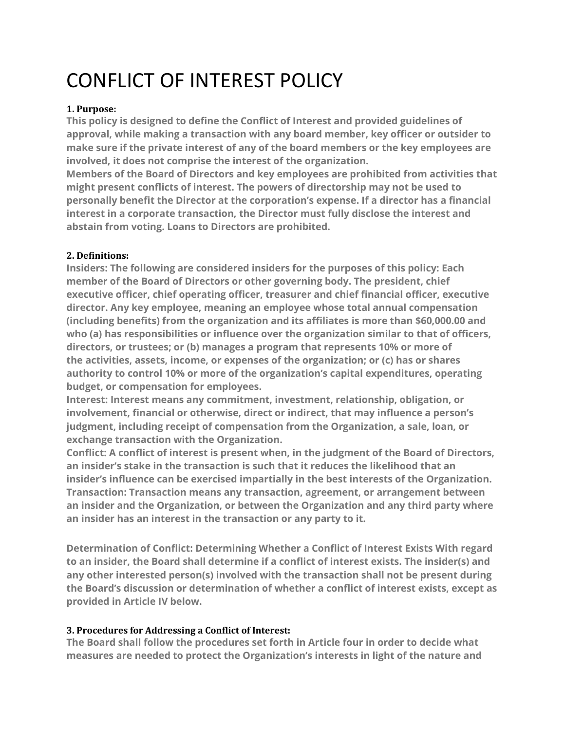# CONFLICT OF INTEREST POLICY

## **1. Purpose:**

**This policy is designed to define the Conflict of Interest and provided guidelines of approval, while making a transaction with any board member, key officer or outsider to make sure if the private interest of any of the board members or the key employees are involved, it does not comprise the interest of the organization.**

**Members of the Board of Directors and key employees are prohibited from activities that might present conflicts of interest. The powers of directorship may not be used to personally benefit the Director at the corporation's expense. If a director has a financial interest in a corporate transaction, the Director must fully disclose the interest and abstain from voting. Loans to Directors are prohibited.**

#### **2. Definitions:**

**Insiders: The following are considered insiders for the purposes of this policy: Each member of the Board of Directors or other governing body. The president, chief executive officer, chief operating officer, treasurer and chief financial officer, executive director. Any key employee, meaning an employee whose total annual compensation (including benefits) from the organization and its affiliates is more than \$60,000.00 and who (a) has responsibilities or influence over the organization similar to that of officers, directors, or trustees; or (b) manages a program that represents 10% or more of the activities, assets, income, or expenses of the organization; or (c) has or shares authority to control 10% or more of the organization's capital expenditures, operating budget, or compensation for employees.**

**Interest: Interest means any commitment, investment, relationship, obligation, or involvement, financial or otherwise, direct or indirect, that may influence a person's judgment, including receipt of compensation from the Organization, a sale, loan, or exchange transaction with the Organization.**

**Conflict: A conflict of interest is present when, in the judgment of the Board of Directors, an insider's stake in the transaction is such that it reduces the likelihood that an insider's influence can be exercised impartially in the best interests of the Organization. Transaction: Transaction means any transaction, agreement, or arrangement between an insider and the Organization, or between the Organization and any third party where an insider has an interest in the transaction or any party to it.**

**Determination of Conflict: Determining Whether a Conflict of Interest Exists With regard to an insider, the Board shall determine if a conflict of interest exists. The insider(s) and any other interested person(s) involved with the transaction shall not be present during the Board's discussion or determination of whether a conflict of interest exists, except as provided in Article IV below.**

# **3. Procedures for Addressing a Conflict of Interest:**

**The Board shall follow the procedures set forth in Article four in order to decide what measures are needed to protect the Organization's interests in light of the nature and**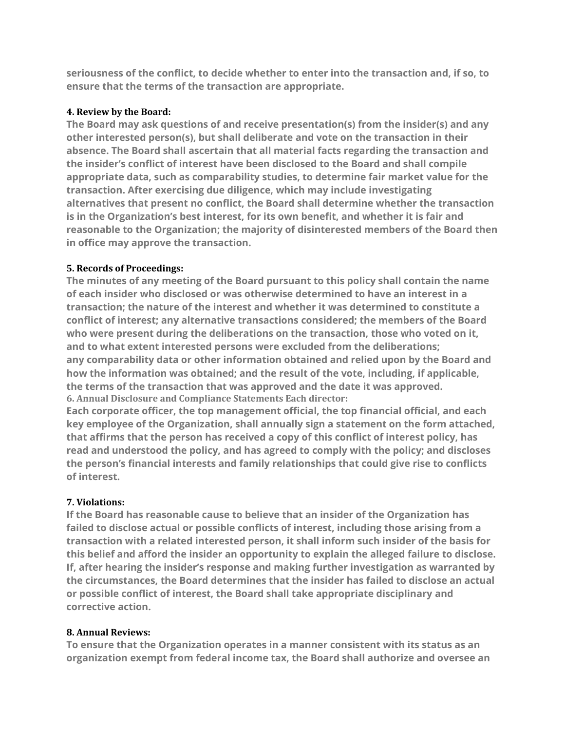**seriousness of the conflict, to decide whether to enter into the transaction and, if so, to ensure that the terms of the transaction are appropriate.**

### **4. Review by the Board:**

**The Board may ask questions of and receive presentation(s) from the insider(s) and any other interested person(s), but shall deliberate and vote on the transaction in their absence. The Board shall ascertain that all material facts regarding the transaction and the insider's conflict of interest have been disclosed to the Board and shall compile appropriate data, such as comparability studies, to determine fair market value for the transaction. After exercising due diligence, which may include investigating alternatives that present no conflict, the Board shall determine whether the transaction is in the Organization's best interest, for its own benefit, and whether it is fair and reasonable to the Organization; the majority of disinterested members of the Board then in office may approve the transaction.**

## **5. Records of Proceedings:**

**The minutes of any meeting of the Board pursuant to this policy shall contain the name of each insider who disclosed or was otherwise determined to have an interest in a transaction; the nature of the interest and whether it was determined to constitute a conflict of interest; any alternative transactions considered; the members of the Board who were present during the deliberations on the transaction, those who voted on it, and to what extent interested persons were excluded from the deliberations; any comparability data or other information obtained and relied upon by the Board and how the information was obtained; and the result of the vote, including, if applicable, the terms of the transaction that was approved and the date it was approved. 6. Annual Disclosure and Compliance Statements Each director:**

**Each corporate officer, the top management official, the top financial official, and each key employee of the Organization, shall annually sign a statement on the form attached, that affirms that the person has received a copy of this conflict of interest policy, has read and understood the policy, and has agreed to comply with the policy; and discloses the person's financial interests and family relationships that could give rise to conflicts of interest.**

# **7. Violations:**

**If the Board has reasonable cause to believe that an insider of the Organization has failed to disclose actual or possible conflicts of interest, including those arising from a transaction with a related interested person, it shall inform such insider of the basis for this belief and afford the insider an opportunity to explain the alleged failure to disclose. If, after hearing the insider's response and making further investigation as warranted by the circumstances, the Board determines that the insider has failed to disclose an actual or possible conflict of interest, the Board shall take appropriate disciplinary and corrective action.**

#### **8. Annual Reviews:**

**To ensure that the Organization operates in a manner consistent with its status as an organization exempt from federal income tax, the Board shall authorize and oversee an**